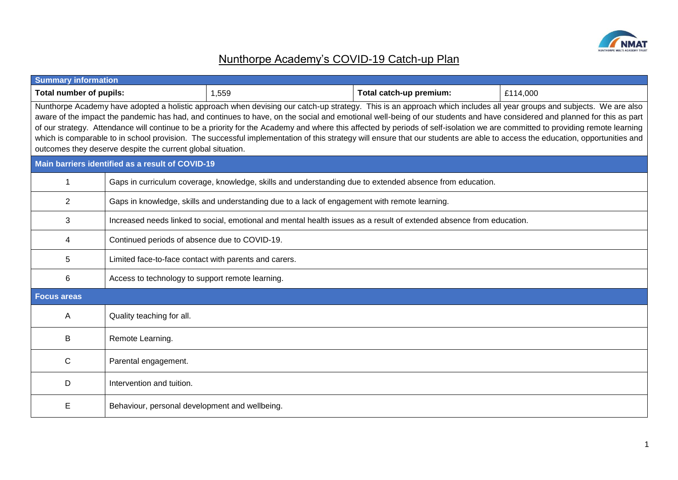

## Nunthorpe Academy's COVID-19 Catch-up Plan

| <b>Summary information</b>                                                                                                                                                                                                                                                                                                                                                                                                                                                                                                                                                                                                                                                                                                                                                       |                                                                                                          |                                                                                                                      |                         |          |  |  |  |  |  |  |
|----------------------------------------------------------------------------------------------------------------------------------------------------------------------------------------------------------------------------------------------------------------------------------------------------------------------------------------------------------------------------------------------------------------------------------------------------------------------------------------------------------------------------------------------------------------------------------------------------------------------------------------------------------------------------------------------------------------------------------------------------------------------------------|----------------------------------------------------------------------------------------------------------|----------------------------------------------------------------------------------------------------------------------|-------------------------|----------|--|--|--|--|--|--|
| <b>Total number of pupils:</b>                                                                                                                                                                                                                                                                                                                                                                                                                                                                                                                                                                                                                                                                                                                                                   |                                                                                                          | 1,559                                                                                                                | Total catch-up premium: | £114,000 |  |  |  |  |  |  |
| Nunthorpe Academy have adopted a holistic approach when devising our catch-up strategy. This is an approach which includes all year groups and subjects. We are also<br>aware of the impact the pandemic has had, and continues to have, on the social and emotional well-being of our students and have considered and planned for this as part<br>of our strategy. Attendance will continue to be a priority for the Academy and where this affected by periods of self-isolation we are committed to providing remote learning<br>which is comparable to in school provision. The successful implementation of this strategy will ensure that our students are able to access the education, opportunities and<br>outcomes they deserve despite the current global situation. |                                                                                                          |                                                                                                                      |                         |          |  |  |  |  |  |  |
|                                                                                                                                                                                                                                                                                                                                                                                                                                                                                                                                                                                                                                                                                                                                                                                  | Main barriers identified as a result of COVID-19                                                         |                                                                                                                      |                         |          |  |  |  |  |  |  |
| $\mathbf 1$                                                                                                                                                                                                                                                                                                                                                                                                                                                                                                                                                                                                                                                                                                                                                                      | Gaps in curriculum coverage, knowledge, skills and understanding due to extended absence from education. |                                                                                                                      |                         |          |  |  |  |  |  |  |
| 2                                                                                                                                                                                                                                                                                                                                                                                                                                                                                                                                                                                                                                                                                                                                                                                |                                                                                                          | Gaps in knowledge, skills and understanding due to a lack of engagement with remote learning.                        |                         |          |  |  |  |  |  |  |
| 3                                                                                                                                                                                                                                                                                                                                                                                                                                                                                                                                                                                                                                                                                                                                                                                |                                                                                                          | Increased needs linked to social, emotional and mental health issues as a result of extended absence from education. |                         |          |  |  |  |  |  |  |
| 4                                                                                                                                                                                                                                                                                                                                                                                                                                                                                                                                                                                                                                                                                                                                                                                | Continued periods of absence due to COVID-19.                                                            |                                                                                                                      |                         |          |  |  |  |  |  |  |
| $\overline{5}$                                                                                                                                                                                                                                                                                                                                                                                                                                                                                                                                                                                                                                                                                                                                                                   | Limited face-to-face contact with parents and carers.                                                    |                                                                                                                      |                         |          |  |  |  |  |  |  |
| 6                                                                                                                                                                                                                                                                                                                                                                                                                                                                                                                                                                                                                                                                                                                                                                                | Access to technology to support remote learning.                                                         |                                                                                                                      |                         |          |  |  |  |  |  |  |
| <b>Focus areas</b>                                                                                                                                                                                                                                                                                                                                                                                                                                                                                                                                                                                                                                                                                                                                                               |                                                                                                          |                                                                                                                      |                         |          |  |  |  |  |  |  |
| A                                                                                                                                                                                                                                                                                                                                                                                                                                                                                                                                                                                                                                                                                                                                                                                | Quality teaching for all.                                                                                |                                                                                                                      |                         |          |  |  |  |  |  |  |
| В                                                                                                                                                                                                                                                                                                                                                                                                                                                                                                                                                                                                                                                                                                                                                                                | Remote Learning.                                                                                         |                                                                                                                      |                         |          |  |  |  |  |  |  |
| C                                                                                                                                                                                                                                                                                                                                                                                                                                                                                                                                                                                                                                                                                                                                                                                | Parental engagement.                                                                                     |                                                                                                                      |                         |          |  |  |  |  |  |  |
| D                                                                                                                                                                                                                                                                                                                                                                                                                                                                                                                                                                                                                                                                                                                                                                                | Intervention and tuition.                                                                                |                                                                                                                      |                         |          |  |  |  |  |  |  |
| E                                                                                                                                                                                                                                                                                                                                                                                                                                                                                                                                                                                                                                                                                                                                                                                | Behaviour, personal development and wellbeing.                                                           |                                                                                                                      |                         |          |  |  |  |  |  |  |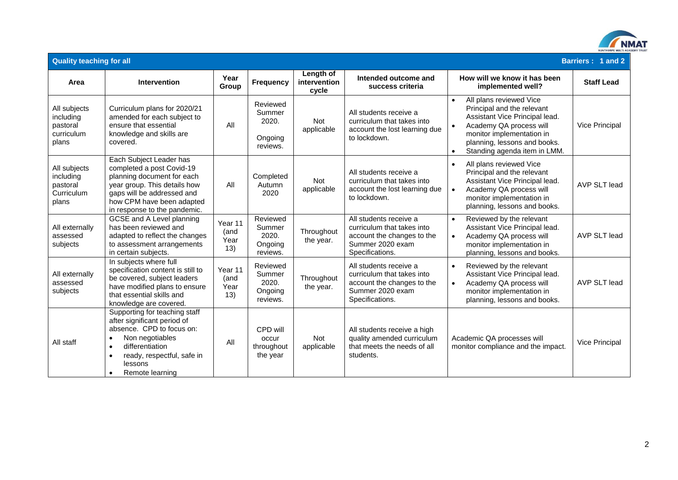

| <b>Quality teaching for all</b><br>Barriers: 1 and 2         |                                                                                                                                                                                                                                    |                                |                                                    |                                    |                                                                                                                           |                                                                                                                                                                                                                                                        |                   |  |  |  |
|--------------------------------------------------------------|------------------------------------------------------------------------------------------------------------------------------------------------------------------------------------------------------------------------------------|--------------------------------|----------------------------------------------------|------------------------------------|---------------------------------------------------------------------------------------------------------------------------|--------------------------------------------------------------------------------------------------------------------------------------------------------------------------------------------------------------------------------------------------------|-------------------|--|--|--|
| Area                                                         | Intervention                                                                                                                                                                                                                       | Year<br>Group                  | <b>Frequency</b>                                   | Length of<br>intervention<br>cycle | Intended outcome and<br>success criteria                                                                                  | How will we know it has been<br>implemented well?                                                                                                                                                                                                      | <b>Staff Lead</b> |  |  |  |
| All subjects<br>including<br>pastoral<br>curriculum<br>plans | Curriculum plans for 2020/21<br>amended for each subject to<br>ensure that essential<br>knowledge and skills are<br>covered.                                                                                                       | All                            | Reviewed<br>Summer<br>2020.<br>Ongoing<br>reviews. | <b>Not</b><br>applicable           | All students receive a<br>curriculum that takes into<br>account the lost learning due<br>to lockdown.                     | All plans reviewed Vice<br>$\bullet$<br>Principal and the relevant<br>Assistant Vice Principal lead.<br>Academy QA process will<br>$\bullet$<br>monitor implementation in<br>planning, lessons and books.<br>Standing agenda item in LMM.<br>$\bullet$ | Vice Principal    |  |  |  |
| All subjects<br>including<br>pastoral<br>Curriculum<br>plans | Each Subject Leader has<br>completed a post Covid-19<br>planning document for each<br>year group. This details how<br>gaps will be addressed and<br>how CPM have been adapted<br>in response to the pandemic.                      | All                            | Completed<br>Autumn<br>2020                        | <b>Not</b><br>applicable           | All students receive a<br>curriculum that takes into<br>account the lost learning due<br>to lockdown.                     | All plans reviewed Vice<br>$\bullet$<br>Principal and the relevant<br>Assistant Vice Principal lead.<br>Academy QA process will<br>$\bullet$<br>monitor implementation in<br>planning, lessons and books.                                              | AVP SLT lead      |  |  |  |
| All externally<br>assessed<br>subjects                       | GCSE and A Level planning<br>has been reviewed and<br>adapted to reflect the changes<br>to assessment arrangements<br>in certain subjects.                                                                                         | Year 11<br>(and<br>Year<br>13) | Reviewed<br>Summer<br>2020.<br>Ongoing<br>reviews. | Throughout<br>the year.            | All students receive a<br>curriculum that takes into<br>account the changes to the<br>Summer 2020 exam<br>Specifications. | Reviewed by the relevant<br>$\bullet$<br>Assistant Vice Principal lead.<br>Academy QA process will<br>$\bullet$<br>monitor implementation in<br>planning, lessons and books.                                                                           | AVP SLT lead      |  |  |  |
| All externally<br>assessed<br>subjects                       | In subjects where full<br>specification content is still to<br>be covered, subject leaders<br>have modified plans to ensure<br>that essential skills and<br>knowledge are covered.                                                 | Year 11<br>(and<br>Year<br>13) | Reviewed<br>Summer<br>2020.<br>Ongoing<br>reviews. | Throughout<br>the year.            | All students receive a<br>curriculum that takes into<br>account the changes to the<br>Summer 2020 exam<br>Specifications. | Reviewed by the relevant<br>$\bullet$<br>Assistant Vice Principal lead.<br>Academy QA process will<br>$\bullet$<br>monitor implementation in<br>planning, lessons and books.                                                                           | AVP SLT lead      |  |  |  |
| All staff                                                    | Supporting for teaching staff<br>after significant period of<br>absence. CPD to focus on:<br>Non negotiables<br>differentiation<br>$\bullet$<br>ready, respectful, safe in<br>$\bullet$<br>lessons<br>Remote learning<br>$\bullet$ | All                            | CPD will<br>occur<br>throughout<br>the year        | <b>Not</b><br>applicable           | All students receive a high<br>quality amended curriculum<br>that meets the needs of all<br>students.                     | Academic QA processes will<br>monitor compliance and the impact.                                                                                                                                                                                       | Vice Principal    |  |  |  |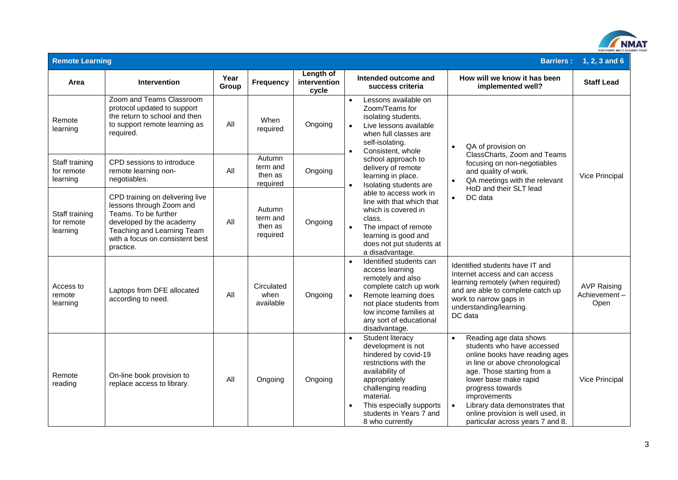

| <b>Remote Learning</b>                   |                                                                                                                                                                                               |               |                                           | <b>Barriers:</b>                   | 1, 2, 3 and 6                                                                                                                                        |                                                                                                                                                                                                                                           |                                                                                                                                                                                                                                                                                                                                                          |                                            |
|------------------------------------------|-----------------------------------------------------------------------------------------------------------------------------------------------------------------------------------------------|---------------|-------------------------------------------|------------------------------------|------------------------------------------------------------------------------------------------------------------------------------------------------|-------------------------------------------------------------------------------------------------------------------------------------------------------------------------------------------------------------------------------------------|----------------------------------------------------------------------------------------------------------------------------------------------------------------------------------------------------------------------------------------------------------------------------------------------------------------------------------------------------------|--------------------------------------------|
| Area                                     | Intervention                                                                                                                                                                                  | Year<br>Group | <b>Frequency</b>                          | Length of<br>intervention<br>cycle |                                                                                                                                                      | Intended outcome and<br>success criteria                                                                                                                                                                                                  | How will we know it has been<br>implemented well?                                                                                                                                                                                                                                                                                                        | <b>Staff Lead</b>                          |
| Remote<br>learning                       | Zoom and Teams Classroom<br>protocol updated to support<br>the return to school and then<br>to support remote learning as<br>required.                                                        | All           | When<br>required                          | Ongoing                            |                                                                                                                                                      | Lessons available on<br>Zoom/Teams for<br>isolating students.<br>Live lessons available<br>when full classes are<br>self-isolating.                                                                                                       | QA of provision on<br>$\bullet$                                                                                                                                                                                                                                                                                                                          |                                            |
| Staff training<br>for remote<br>learning | CPD sessions to introduce<br>remote learning non-<br>negotiables.                                                                                                                             | All           | Autumn<br>term and<br>then as<br>required | Ongoing                            | Consistent, whole<br>school approach to<br>delivery of remote<br>learning in place.<br>Isolating students are<br>$\bullet$<br>able to access work in | ClassCharts, Zoom and Teams<br>focusing on non-negotiables<br>and quality of work.<br>QA meetings with the relevant<br>$\bullet$<br>HoD and their SLT lead                                                                                | Vice Principal                                                                                                                                                                                                                                                                                                                                           |                                            |
| Staff training<br>for remote<br>learning | CPD training on delivering live<br>lessons through Zoom and<br>Teams. To be further<br>developed by the academy<br>Teaching and Learning Team<br>with a focus on consistent best<br>practice. | All           | Autumn<br>term and<br>then as<br>required | Ongoing                            |                                                                                                                                                      | line with that which that<br>which is covered in<br>class.<br>The impact of remote<br>learning is good and<br>does not put students at<br>a disadvantage.                                                                                 | DC data<br>$\bullet$                                                                                                                                                                                                                                                                                                                                     |                                            |
| Access to<br>remote<br>learning          | Laptops from DFE allocated<br>according to need.                                                                                                                                              | All           | Circulated<br>when<br>available           | Ongoing                            | $\bullet$                                                                                                                                            | Identified students can<br>access learning<br>remotely and also<br>complete catch up work<br>Remote learning does<br>not place students from<br>low income families at<br>any sort of educational<br>disadvantage.                        | Identified students have IT and<br>Internet access and can access<br>learning remotely (when required)<br>and are able to complete catch up<br>work to narrow gaps in<br>understanding/learning.<br>DC data                                                                                                                                              | <b>AVP Raising</b><br>Achievement-<br>Open |
| Remote<br>reading                        | On-line book provision to<br>replace access to library.                                                                                                                                       | All           | Ongoing                                   | Ongoing                            | $\bullet$<br>$\bullet$                                                                                                                               | Student literacy<br>development is not<br>hindered by covid-19<br>restrictions with the<br>availability of<br>appropriately<br>challenging reading<br>material.<br>This especially supports<br>students in Years 7 and<br>8 who currently | Reading age data shows<br>$\bullet$<br>students who have accessed<br>online books have reading ages<br>in line or above chronological<br>age. Those starting from a<br>lower base make rapid<br>progress towards<br>improvements<br>Library data demonstrates that<br>$\bullet$<br>online provision is well used, in<br>particular across years 7 and 8. | Vice Principal                             |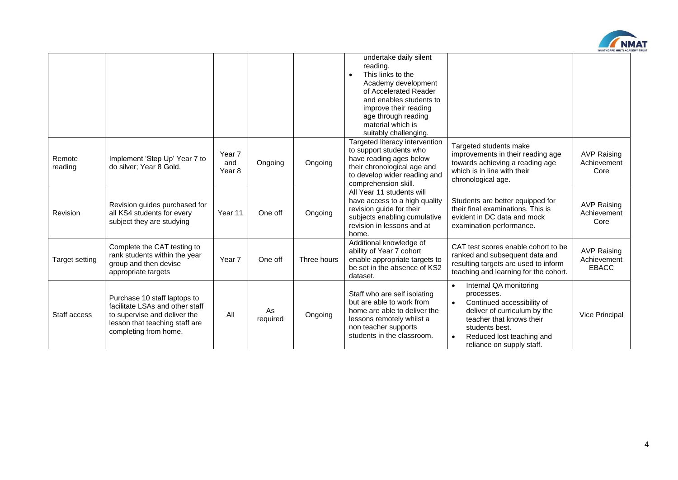

|                   |                                                                                                                                                            |                         |                |             | undertake daily silent<br>reading.<br>This links to the<br>Academy development<br>of Accelerated Reader<br>and enables students to<br>improve their reading<br>age through reading<br>material which is<br>suitably challenging. |                                                                                                                                                                                                                                                   |                                                   |
|-------------------|------------------------------------------------------------------------------------------------------------------------------------------------------------|-------------------------|----------------|-------------|----------------------------------------------------------------------------------------------------------------------------------------------------------------------------------------------------------------------------------|---------------------------------------------------------------------------------------------------------------------------------------------------------------------------------------------------------------------------------------------------|---------------------------------------------------|
| Remote<br>reading | Implement 'Step Up' Year 7 to<br>do silver; Year 8 Gold.                                                                                                   | Year 7<br>and<br>Year 8 | Ongoing        | Ongoing     | Targeted literacy intervention<br>to support students who<br>have reading ages below<br>their chronological age and<br>to develop wider reading and<br>comprehension skill.                                                      | Targeted students make<br>improvements in their reading age<br>towards achieving a reading age<br>which is in line with their<br>chronological age.                                                                                               | <b>AVP Raising</b><br>Achievement<br>Core         |
| Revision          | Revision guides purchased for<br>all KS4 students for every<br>subject they are studying                                                                   | Year 11                 | One off        | Ongoing     | All Year 11 students will<br>have access to a high quality<br>revision guide for their<br>subjects enabling cumulative<br>revision in lessons and at<br>home.                                                                    | Students are better equipped for<br>their final examinations. This is<br>evident in DC data and mock<br>examination performance.                                                                                                                  | <b>AVP Raising</b><br>Achievement<br>Core         |
| Target setting    | Complete the CAT testing to<br>rank students within the year<br>group and then devise<br>appropriate targets                                               | Year 7                  | One off        | Three hours | Additional knowledge of<br>ability of Year 7 cohort<br>enable appropriate targets to<br>be set in the absence of KS2<br>dataset.                                                                                                 | CAT test scores enable cohort to be<br>ranked and subsequent data and<br>resulting targets are used to inform<br>teaching and learning for the cohort.                                                                                            | <b>AVP Raising</b><br>Achievement<br><b>EBACC</b> |
| Staff access      | Purchase 10 staff laptops to<br>facilitate LSAs and other staff<br>to supervise and deliver the<br>lesson that teaching staff are<br>completing from home. | All                     | As<br>required | Ongoing     | Staff who are self isolating<br>but are able to work from<br>home are able to deliver the<br>lessons remotely whilst a<br>non teacher supports<br>students in the classroom.                                                     | Internal QA monitoring<br>$\bullet$<br>processes.<br>Continued accessibility of<br>$\bullet$<br>deliver of curriculum by the<br>teacher that knows their<br>students best.<br>Reduced lost teaching and<br>$\bullet$<br>reliance on supply staff. | Vice Principal                                    |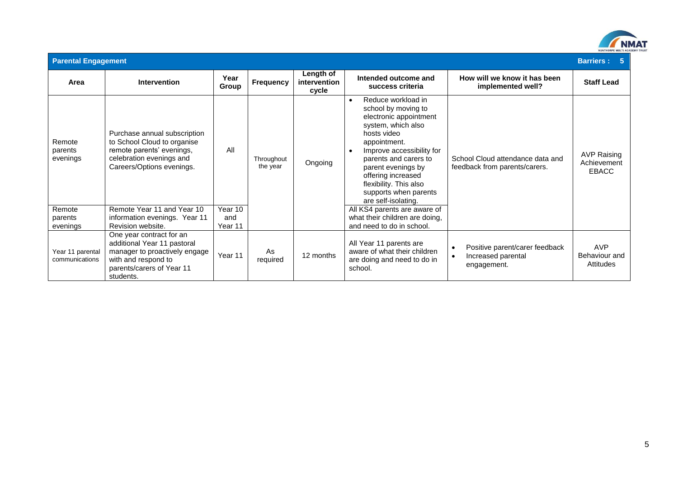

| <b>Parental Engagement</b><br><b>Barriers: 5</b> |                                                                                                                                                           |                |                        |                                    |                                                                                                                                                                                                                                                                                                                   |                                                                                  |                                                   |  |
|--------------------------------------------------|-----------------------------------------------------------------------------------------------------------------------------------------------------------|----------------|------------------------|------------------------------------|-------------------------------------------------------------------------------------------------------------------------------------------------------------------------------------------------------------------------------------------------------------------------------------------------------------------|----------------------------------------------------------------------------------|---------------------------------------------------|--|
| Area                                             | <b>Intervention</b>                                                                                                                                       | Year<br>Group  | Frequency              | Length of<br>intervention<br>cycle | Intended outcome and<br>success criteria                                                                                                                                                                                                                                                                          | How will we know it has been<br>implemented well?                                | <b>Staff Lead</b>                                 |  |
| Remote<br>parents<br>evenings                    | Purchase annual subscription<br>to School Cloud to organise<br>remote parents' evenings,<br>celebration evenings and<br>Careers/Options evenings.         | All            | Throughout<br>the year | Ongoing                            | Reduce workload in<br>$\bullet$<br>school by moving to<br>electronic appointment<br>system, which also<br>hosts video<br>appointment.<br>Improve accessibility for<br>parents and carers to<br>parent evenings by<br>offering increased<br>flexibility. This also<br>supports when parents<br>are self-isolating. | School Cloud attendance data and<br>feedback from parents/carers.                | <b>AVP Raising</b><br>Achievement<br><b>EBACC</b> |  |
| Remote                                           | Remote Year 11 and Year 10                                                                                                                                | Year 10<br>and |                        |                                    | All KS4 parents are aware of<br>what their children are doing,                                                                                                                                                                                                                                                    |                                                                                  |                                                   |  |
| parents<br>evenings                              | information evenings. Year 11<br>Revision website.                                                                                                        | Year 11        |                        |                                    | and need to do in school.                                                                                                                                                                                                                                                                                         |                                                                                  |                                                   |  |
| Year 11 parental<br>communications               | One year contract for an<br>additional Year 11 pastoral<br>manager to proactively engage<br>with and respond to<br>parents/carers of Year 11<br>students. | Year 11        | As<br>required         | 12 months                          | All Year 11 parents are<br>aware of what their children<br>are doing and need to do in<br>school.                                                                                                                                                                                                                 | Positive parent/carer feedback<br>Increased parental<br>$\bullet$<br>engagement. | <b>AVP</b><br>Behaviour and<br>Attitudes          |  |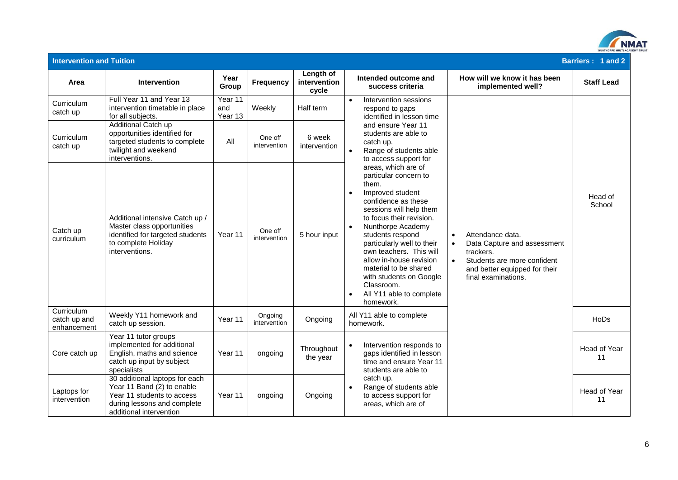

| <b>Intervention and Tuition</b>           |                                                                                                                                                      |                           |                         |                                    |                                                                                                                                                                                                                                                                                                                                                                                                                                        |                                                                                                                                                                                            | Barriers: 1 and 2  |
|-------------------------------------------|------------------------------------------------------------------------------------------------------------------------------------------------------|---------------------------|-------------------------|------------------------------------|----------------------------------------------------------------------------------------------------------------------------------------------------------------------------------------------------------------------------------------------------------------------------------------------------------------------------------------------------------------------------------------------------------------------------------------|--------------------------------------------------------------------------------------------------------------------------------------------------------------------------------------------|--------------------|
| Area                                      | Intervention                                                                                                                                         | Year<br>Group             | <b>Frequency</b>        | Length of<br>intervention<br>cycle | Intended outcome and<br>success criteria                                                                                                                                                                                                                                                                                                                                                                                               | How will we know it has been<br>implemented well?                                                                                                                                          | <b>Staff Lead</b>  |
| Curriculum<br>catch up                    | Full Year 11 and Year 13<br>intervention timetable in place<br>for all subjects.                                                                     | Year 11<br>and<br>Year 13 | Weekly                  | Half term                          | Intervention sessions<br>$\bullet$<br>respond to gaps<br>identified in lesson time                                                                                                                                                                                                                                                                                                                                                     |                                                                                                                                                                                            |                    |
| Curriculum<br>catch up                    | <b>Additional Catch up</b><br>opportunities identified for<br>targeted students to complete<br>twilight and weekend<br>interventions.                | All                       | One off<br>intervention | 6 week<br>intervention             | and ensure Year 11<br>students are able to<br>catch up.<br>Range of students able<br>$\bullet$<br>to access support for                                                                                                                                                                                                                                                                                                                |                                                                                                                                                                                            |                    |
| Catch up<br>curriculum                    | Additional intensive Catch up /<br>Master class opportunities<br>identified for targeted students<br>to complete Holiday<br>interventions.           | Year 11                   | One off<br>intervention | 5 hour input                       | areas, which are of<br>particular concern to<br>them.<br>Improved student<br>$\bullet$<br>confidence as these<br>sessions will help them<br>to focus their revision.<br>Nunthorpe Academy<br>$\bullet$<br>students respond<br>particularly well to their<br>own teachers. This will<br>allow in-house revision<br>material to be shared<br>with students on Google<br>Classroom.<br>All Y11 able to complete<br>$\bullet$<br>homework. | Attendance data.<br>$\bullet$<br>Data Capture and assessment<br>$\bullet$<br>trackers.<br>$\bullet$<br>Students are more confident<br>and better equipped for their<br>final examinations. | Head of<br>School  |
| Curriculum<br>catch up and<br>enhancement | Weekly Y11 homework and<br>catch up session.                                                                                                         | Year 11                   | Ongoing<br>intervention | Ongoing                            | All Y11 able to complete<br>homework.                                                                                                                                                                                                                                                                                                                                                                                                  |                                                                                                                                                                                            | HoDs               |
| Core catch up                             | Year 11 tutor groups<br>implemented for additional<br>English, maths and science<br>catch up input by subject<br>specialists                         | Year 11                   | ongoing                 | Throughout<br>the year             | Intervention responds to<br>gaps identified in lesson<br>time and ensure Year 11<br>students are able to                                                                                                                                                                                                                                                                                                                               |                                                                                                                                                                                            | Head of Year<br>11 |
| Laptops for<br>intervention               | 30 additional laptops for each<br>Year 11 Band (2) to enable<br>Year 11 students to access<br>during lessons and complete<br>additional intervention | Year 11                   | ongoing                 | Ongoing                            | catch up.<br>Range of students able<br>$\bullet$<br>to access support for<br>areas, which are of                                                                                                                                                                                                                                                                                                                                       |                                                                                                                                                                                            | Head of Year<br>11 |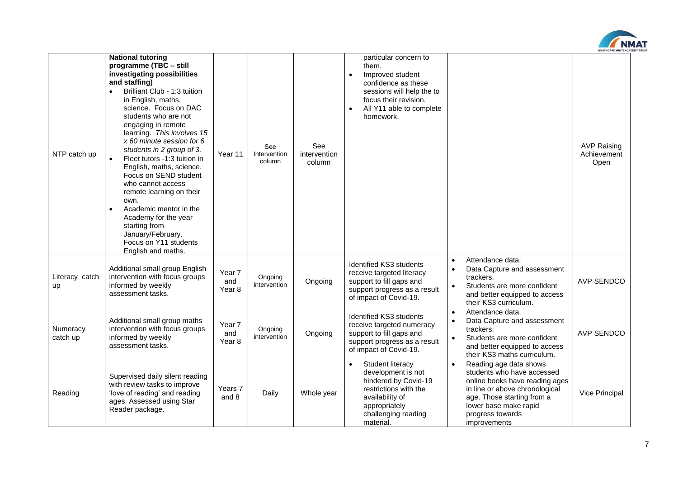

| NTP catch up                | <b>National tutoring</b><br>programme (TBC - still<br>investigating possibilities<br>and staffing)<br>Brilliant Club - 1:3 tuition<br>in English, maths,<br>science. Focus on DAC<br>students who are not<br>engaging in remote<br>learning. This involves 15<br>$x$ 60 minute session for 6<br>students in 2 group of 3.<br>$\bullet$<br>Fleet tutors -1:3 tuition in<br>English, maths, science.<br>Focus on SEND student<br>who cannot access<br>remote learning on their<br>own.<br>Academic mentor in the<br>$\bullet$<br>Academy for the year<br>starting from<br>January/February.<br>Focus on Y11 students<br>English and maths. | Year 11                 | See<br>Intervention<br>column | See<br>intervention<br>column | particular concern to<br>them.<br>Improved student<br>confidence as these<br>sessions will help the to<br>focus their revision.<br>All Y11 able to complete<br>$\bullet$<br>homework. |                                                                                                                                                                                                                                  | <b>AVP Raising</b><br>Achievement<br>Open |
|-----------------------------|------------------------------------------------------------------------------------------------------------------------------------------------------------------------------------------------------------------------------------------------------------------------------------------------------------------------------------------------------------------------------------------------------------------------------------------------------------------------------------------------------------------------------------------------------------------------------------------------------------------------------------------|-------------------------|-------------------------------|-------------------------------|---------------------------------------------------------------------------------------------------------------------------------------------------------------------------------------|----------------------------------------------------------------------------------------------------------------------------------------------------------------------------------------------------------------------------------|-------------------------------------------|
| Literacy catch<br><b>up</b> | Additional small group English<br>intervention with focus groups<br>informed by weekly<br>assessment tasks.                                                                                                                                                                                                                                                                                                                                                                                                                                                                                                                              | Year 7<br>and<br>Year 8 | Ongoing<br>intervention       | Ongoing                       | Identified KS3 students<br>receive targeted literacy<br>support to fill gaps and<br>support progress as a result<br>of impact of Covid-19.                                            | Attendance data.<br>$\bullet$<br>Data Capture and assessment<br>trackers.<br>Students are more confident<br>$\bullet$<br>and better equipped to access<br>their KS3 curriculum.                                                  | <b>AVP SENDCO</b>                         |
| Numeracy<br>catch up        | Additional small group maths<br>intervention with focus groups<br>informed by weekly<br>assessment tasks.                                                                                                                                                                                                                                                                                                                                                                                                                                                                                                                                | Year 7<br>and<br>Year 8 | Ongoing<br>intervention       | Ongoing                       | Identified KS3 students<br>receive targeted numeracy<br>support to fill gaps and<br>support progress as a result<br>of impact of Covid-19.                                            | Attendance data.<br>$\bullet$<br>Data Capture and assessment<br>trackers.<br>Students are more confident<br>$\bullet$<br>and better equipped to access<br>their KS3 maths curriculum.                                            | <b>AVP SENDCO</b>                         |
| Reading                     | Supervised daily silent reading<br>with review tasks to improve<br>'love of reading' and reading<br>ages. Assessed using Star<br>Reader package.                                                                                                                                                                                                                                                                                                                                                                                                                                                                                         | Years 7<br>and 8        | Daily                         | Whole year                    | Student literacy<br>development is not<br>hindered by Covid-19<br>restrictions with the<br>availability of<br>appropriately<br>challenging reading<br>material.                       | Reading age data shows<br>$\bullet$<br>students who have accessed<br>online books have reading ages<br>in line or above chronological<br>age. Those starting from a<br>lower base make rapid<br>progress towards<br>improvements | Vice Principal                            |